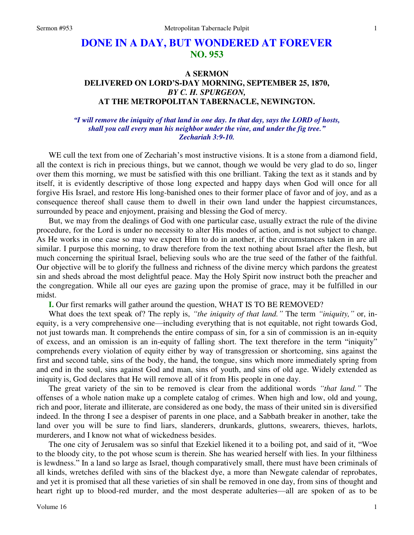# **DONE IN A DAY, BUT WONDERED AT FOREVER NO. 953**

## **A SERMON DELIVERED ON LORD'S-DAY MORNING, SEPTEMBER 25, 1870,**  *BY C. H. SPURGEON,*  **AT THE METROPOLITAN TABERNACLE, NEWINGTON.**

### *"I will remove the iniquity of that land in one day. In that day, says the LORD of hosts, shall you call every man his neighbor under the vine, and under the fig tree." Zechariah 3:9-10.*

WE cull the text from one of Zechariah's most instructive visions. It is a stone from a diamond field, all the context is rich in precious things, but we cannot, though we would be very glad to do so, linger over them this morning, we must be satisfied with this one brilliant. Taking the text as it stands and by itself, it is evidently descriptive of those long expected and happy days when God will once for all forgive His Israel, and restore His long-banished ones to their former place of favor and of joy, and as a consequence thereof shall cause them to dwell in their own land under the happiest circumstances, surrounded by peace and enjoyment, praising and blessing the God of mercy.

But, we may from the dealings of God with one particular case, usually extract the rule of the divine procedure, for the Lord is under no necessity to alter His modes of action, and is not subject to change. As He works in one case so may we expect Him to do in another, if the circumstances taken in are all similar. I purpose this morning, to draw therefore from the text nothing about Israel after the flesh, but much concerning the spiritual Israel, believing souls who are the true seed of the father of the faithful. Our objective will be to glorify the fullness and richness of the divine mercy which pardons the greatest sin and sheds abroad the most delightful peace. May the Holy Spirit now instruct both the preacher and the congregation. While all our eyes are gazing upon the promise of grace, may it be fulfilled in our midst.

**I.** Our first remarks will gather around the question, WHAT IS TO BE REMOVED?

What does the text speak of? The reply is, *"the iniquity of that land."* The term *"iniquity,"* or, inequity, is a very comprehensive one—including everything that is not equitable, not right towards God, not just towards man. It comprehends the entire compass of sin, for a sin of commission is an in-equity of excess, and an omission is an in-equity of falling short. The text therefore in the term "iniquity" comprehends every violation of equity either by way of transgression or shortcoming, sins against the first and second table, sins of the body, the hand, the tongue, sins which more immediately spring from and end in the soul, sins against God and man, sins of youth, and sins of old age. Widely extended as iniquity is, God declares that He will remove all of it from His people in one day.

The great variety of the sin to be removed is clear from the additional words *"that land."* The offenses of a whole nation make up a complete catalog of crimes. When high and low, old and young, rich and poor, literate and illiterate, are considered as one body, the mass of their united sin is diversified indeed. In the throng I see a despiser of parents in one place, and a Sabbath breaker in another, take the land over you will be sure to find liars, slanderers, drunkards, gluttons, swearers, thieves, harlots, murderers, and I know not what of wickedness besides.

The one city of Jerusalem was so sinful that Ezekiel likened it to a boiling pot, and said of it, "Woe to the bloody city, to the pot whose scum is therein. She has wearied herself with lies. In your filthiness is lewdness." In a land so large as Israel, though comparatively small, there must have been criminals of all kinds, wretches defiled with sins of the blackest dye, a more than Newgate calendar of reprobates, and yet it is promised that all these varieties of sin shall be removed in one day, from sins of thought and heart right up to blood-red murder, and the most desperate adulteries—all are spoken of as to be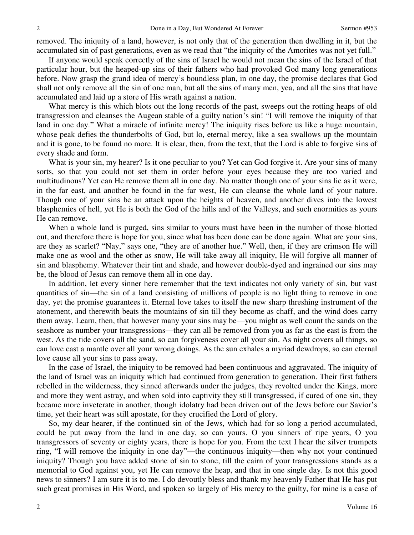removed. The iniquity of a land, however, is not only that of the generation then dwelling in it, but the accumulated sin of past generations, even as we read that "the iniquity of the Amorites was not yet full."

If anyone would speak correctly of the sins of Israel he would not mean the sins of the Israel of that particular hour, but the heaped-up sins of their fathers who had provoked God many long generations before. Now grasp the grand idea of mercy's boundless plan, in one day, the promise declares that God shall not only remove all the sin of one man, but all the sins of many men, yea, and all the sins that have accumulated and laid up a store of His wrath against a nation.

What mercy is this which blots out the long records of the past, sweeps out the rotting heaps of old transgression and cleanses the Augean stable of a guilty nation's sin! "I will remove the iniquity of that land in one day." What a miracle of infinite mercy! The iniquity rises before us like a huge mountain, whose peak defies the thunderbolts of God, but lo, eternal mercy, like a sea swallows up the mountain and it is gone, to be found no more. It is clear, then, from the text, that the Lord is able to forgive sins of every shade and form.

What is your sin, my hearer? Is it one peculiar to you? Yet can God forgive it. Are your sins of many sorts, so that you could not set them in order before your eyes because they are too varied and multitudinous? Yet can He remove them all in one day. No matter though one of your sins lie as it were, in the far east, and another be found in the far west, He can cleanse the whole land of your nature. Though one of your sins be an attack upon the heights of heaven, and another dives into the lowest blasphemies of hell, yet He is both the God of the hills and of the Valleys, and such enormities as yours He can remove.

When a whole land is purged, sins similar to yours must have been in the number of those blotted out, and therefore there is hope for you, since what has been done can be done again. What are your sins, are they as scarlet? "Nay," says one, "they are of another hue." Well, then, if they are crimson He will make one as wool and the other as snow, He will take away all iniquity, He will forgive all manner of sin and blasphemy. Whatever their tint and shade, and however double-dyed and ingrained our sins may be, the blood of Jesus can remove them all in one day.

In addition, let every sinner here remember that the text indicates not only variety of sin, but vast quantities of sin—the sin of a land consisting of millions of people is no light thing to remove in one day, yet the promise guarantees it. Eternal love takes to itself the new sharp threshing instrument of the atonement, and therewith beats the mountains of sin till they become as chaff, and the wind does carry them away. Learn, then, that however many your sins may be—you might as well count the sands on the seashore as number your transgressions—they can all be removed from you as far as the east is from the west. As the tide covers all the sand, so can forgiveness cover all your sin. As night covers all things, so can love cast a mantle over all your wrong doings. As the sun exhales a myriad dewdrops, so can eternal love cause all your sins to pass away.

In the case of Israel, the iniquity to be removed had been continuous and aggravated. The iniquity of the land of Israel was an iniquity which had continued from generation to generation. Their first fathers rebelled in the wilderness, they sinned afterwards under the judges, they revolted under the Kings, more and more they went astray, and when sold into captivity they still transgressed, if cured of one sin, they became more inveterate in another, though idolatry had been driven out of the Jews before our Savior's time, yet their heart was still apostate, for they crucified the Lord of glory.

So, my dear hearer, if the continued sin of the Jews, which had for so long a period accumulated, could be put away from the land in one day, so can yours. O you sinners of ripe years, O you transgressors of seventy or eighty years, there is hope for you. From the text I hear the silver trumpets ring, "I will remove the iniquity in one day"—the continuous iniquity—then why not your continued iniquity? Though you have added stone of sin to stone, till the cairn of your transgressions stands as a memorial to God against you, yet He can remove the heap, and that in one single day. Is not this good news to sinners? I am sure it is to me. I do devoutly bless and thank my heavenly Father that He has put such great promises in His Word, and spoken so largely of His mercy to the guilty, for mine is a case of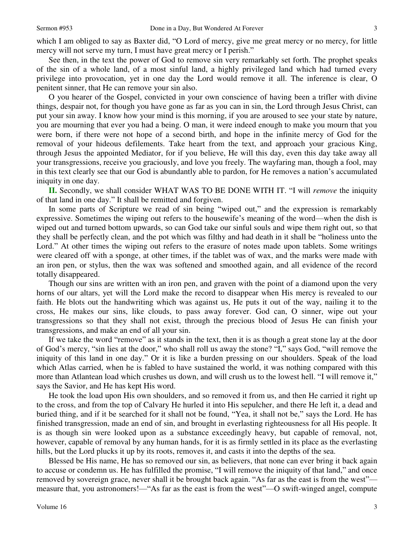3

which I am obliged to say as Baxter did, "O Lord of mercy, give me great mercy or no mercy, for little mercy will not serve my turn, I must have great mercy or I perish."

See then, in the text the power of God to remove sin very remarkably set forth. The prophet speaks of the sin of a whole land, of a most sinful land, a highly privileged land which had turned every privilege into provocation, yet in one day the Lord would remove it all. The inference is clear, O penitent sinner, that He can remove your sin also.

O you hearer of the Gospel, convicted in your own conscience of having been a trifler with divine things, despair not, for though you have gone as far as you can in sin, the Lord through Jesus Christ, can put your sin away. I know how your mind is this morning, if you are aroused to see your state by nature, you are mourning that ever you had a being. O man, it were indeed enough to make you mourn that you were born, if there were not hope of a second birth, and hope in the infinite mercy of God for the removal of your hideous defilements. Take heart from the text, and approach your gracious King, through Jesus the appointed Mediator, for if you believe, He will this day, even this day take away all your transgressions, receive you graciously, and love you freely. The wayfaring man, though a fool, may in this text clearly see that our God is abundantly able to pardon, for He removes a nation's accumulated iniquity in one day.

**II.** Secondly, we shall consider WHAT WAS TO BE DONE WITH IT. "I will *remove* the iniquity of that land in one day." It shall be remitted and forgiven.

In some parts of Scripture we read of sin being "wiped out," and the expression is remarkably expressive. Sometimes the wiping out refers to the housewife's meaning of the word—when the dish is wiped out and turned bottom upwards, so can God take our sinful souls and wipe them right out, so that they shall be perfectly clean, and the pot which was filthy and had death in it shall be "holiness unto the Lord." At other times the wiping out refers to the erasure of notes made upon tablets. Some writings were cleared off with a sponge, at other times, if the tablet was of wax, and the marks were made with an iron pen, or stylus, then the wax was softened and smoothed again, and all evidence of the record totally disappeared.

Though our sins are written with an iron pen, and graven with the point of a diamond upon the very horns of our altars, yet will the Lord make the record to disappear when His mercy is revealed to our faith. He blots out the handwriting which was against us, He puts it out of the way, nailing it to the cross, He makes our sins, like clouds, to pass away forever. God can, O sinner, wipe out your transgressions so that they shall not exist, through the precious blood of Jesus He can finish your transgressions, and make an end of all your sin.

If we take the word "remove" as it stands in the text, then it is as though a great stone lay at the door of God's mercy, "sin lies at the door," who shall roll us away the stone? "I," says God, "will remove the iniquity of this land in one day." Or it is like a burden pressing on our shoulders. Speak of the load which Atlas carried, when he is fabled to have sustained the world, it was nothing compared with this more than Atlantean load which crushes us down, and will crush us to the lowest hell. "I will remove it," says the Savior, and He has kept His word.

He took the load upon His own shoulders, and so removed it from us, and then He carried it right up to the cross, and from the top of Calvary He hurled it into His sepulcher, and there He left it, a dead and buried thing, and if it be searched for it shall not be found, "Yea, it shall not be," says the Lord. He has finished transgression, made an end of sin, and brought in everlasting righteousness for all His people. It is as though sin were looked upon as a substance exceedingly heavy, but capable of removal, not, however, capable of removal by any human hands, for it is as firmly settled in its place as the everlasting hills, but the Lord plucks it up by its roots, removes it, and casts it into the depths of the sea.

Blessed be His name, He has so removed our sin, as believers, that none can ever bring it back again to accuse or condemn us. He has fulfilled the promise, "I will remove the iniquity of that land," and once removed by sovereign grace, never shall it be brought back again. "As far as the east is from the west" measure that, you astronomers!—"As far as the east is from the west"—O swift-winged angel, compute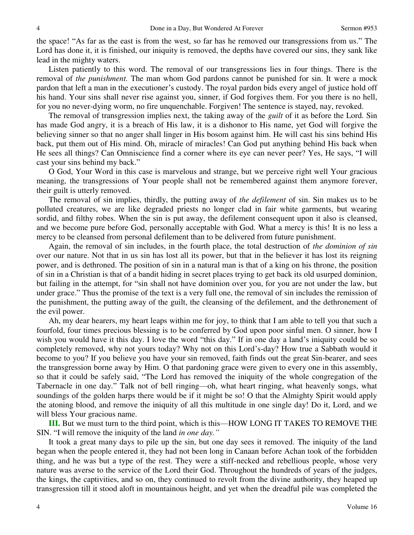the space! "As far as the east is from the west, so far has he removed our transgressions from us." The Lord has done it, it is finished, our iniquity is removed, the depths have covered our sins, they sank like lead in the mighty waters.

Listen patiently to this word. The removal of our transgressions lies in four things. There is the removal of *the punishment.* The man whom God pardons cannot be punished for sin. It were a mock pardon that left a man in the executioner's custody. The royal pardon bids every angel of justice hold off his hand. Your sins shall never rise against you, sinner, if God forgives them. For you there is no hell, for you no never-dying worm, no fire unquenchable. Forgiven! The sentence is stayed, nay, revoked.

The removal of transgression implies next, the taking away of the *guilt* of it as before the Lord. Sin has made God angry, it is a breach of His law, it is a dishonor to His name, yet God will forgive the believing sinner so that no anger shall linger in His bosom against him. He will cast his sins behind His back, put them out of His mind. Oh, miracle of miracles! Can God put anything behind His back when He sees all things? Can Omniscience find a corner where its eye can never peer? Yes, He says, "I will cast your sins behind my back."

O God, Your Word in this case is marvelous and strange, but we perceive right well Your gracious meaning, the transgressions of Your people shall not be remembered against them anymore forever, their guilt is utterly removed.

The removal of sin implies, thirdly, the putting away of *the defilement* of sin. Sin makes us to be polluted creatures, we are like degraded priests no longer clad in fair white garments, but wearing sordid, and filthy robes. When the sin is put away, the defilement consequent upon it also is cleansed, and we become pure before God, personally acceptable with God. What a mercy is this! It is no less a mercy to be cleansed from personal defilement than to be delivered from future punishment.

Again, the removal of sin includes, in the fourth place, the total destruction of *the dominion of sin* over our nature. Not that in us sin has lost all its power, but that in the believer it has lost its reigning power, and is dethroned. The position of sin in a natural man is that of a king on his throne, the position of sin in a Christian is that of a bandit hiding in secret places trying to get back its old usurped dominion, but failing in the attempt, for "sin shall not have dominion over you, for you are not under the law, but under grace." Thus the promise of the text is a very full one, the removal of sin includes the remission of the punishment, the putting away of the guilt, the cleansing of the defilement, and the dethronement of the evil power.

Ah, my dear hearers, my heart leaps within me for joy, to think that I am able to tell you that such a fourfold, four times precious blessing is to be conferred by God upon poor sinful men. O sinner, how I wish you would have it this day. I love the word "this day." If in one day a land's iniquity could be so completely removed, why not yours today? Why not on this Lord's-day? How true a Sabbath would it become to you? If you believe you have your sin removed, faith finds out the great Sin-bearer, and sees the transgression borne away by Him. O that pardoning grace were given to every one in this assembly, so that it could be safely said, "The Lord has removed the iniquity of the whole congregation of the Tabernacle in one day." Talk not of bell ringing—oh, what heart ringing, what heavenly songs, what soundings of the golden harps there would be if it might be so! O that the Almighty Spirit would apply the atoning blood, and remove the iniquity of all this multitude in one single day! Do it, Lord, and we will bless Your gracious name.

**III.** But we must turn to the third point, which is this—HOW LONG IT TAKES TO REMOVE THE SIN. "I will remove the iniquity of the land *in one day."*

It took a great many days to pile up the sin, but one day sees it removed. The iniquity of the land began when the people entered it, they had not been long in Canaan before Achan took of the forbidden thing, and he was but a type of the rest. They were a stiff-necked and rebellious people, whose very nature was averse to the service of the Lord their God. Throughout the hundreds of years of the judges, the kings, the captivities, and so on, they continued to revolt from the divine authority, they heaped up transgression till it stood aloft in mountainous height, and yet when the dreadful pile was completed the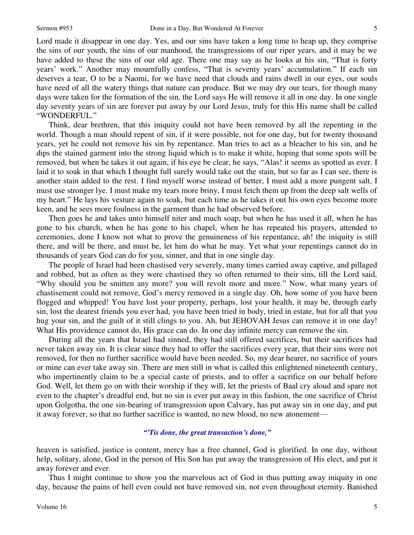Lord made it disappear in one day. Yes, and our sins have taken a long time to heap up, they comprise the sins of our youth, the sins of our manhood, the transgressions of our riper years, and it may be we have added to these the sins of our old age. There one may say as he looks at his sin, "That is forty years' work." Another may mournfully confess, "That is seventy years' accumulation." If each sin deserves a tear, O to be a Naomi, for we have need that clouds and rains dwell in our eyes, our souls have need of all the watery things that nature can produce. But we may dry our tears, for though many days were taken for the formation of the sin, the Lord says He will remove it all in one day. In one single day seventy years of sin are forever put away by our Lord Jesus, truly for this His name shall be called "WONDERFUL."

Think, dear brethren, that this iniquity could not have been removed by all the repenting in the world. Though a man should repent of sin, if it were possible, not for one day, but for twenty thousand years, yet he could not remove his sin by repentance. Man tries to act as a bleacher to his sin, and he dips the stained garment into the strong liquid which is to make it white, hoping that some spots will be removed, but when he takes it out again, if his eye be clear, he says, "Alas! it seems as spotted as ever. I laid it to soak in that which I thought full surely would take out the stain, but so far as I can see, there is another stain added to the rest. I find myself worse instead of better, I must add a more pungent salt, I must use stronger lye. I must make my tears more briny, I must fetch them up from the deep salt wells of my heart." He lays his vesture again to soak, but each time as he takes it out his own eyes become more keen, and he sees more foulness in the garment than he had observed before.

Then goes he and takes unto himself niter and much soap, but when he has used it all, when he has gone to his church, when he has gone to his chapel, when he has repeated his prayers, attended to ceremonies, done I know not what to prove the genuineness of his repentance, ah! the iniquity is still there, and will be there, and must be, let him do what he may. Yet what your repentings cannot do in thousands of years God can do for you, sinner, and that in one single day.

The people of Israel had been chastised very severely, many times carried away captive, and pillaged and robbed, but as often as they were chastised they so often returned to their sins, till the Lord said, "Why should you be smitten any more? you will revolt more and more." Now, what many years of chastisement could not remove, God's mercy removed in a single day. Oh, how some of you have been flogged and whipped! You have lost your property, perhaps, lost your health, it may be, through early sin, lost the dearest friends you ever had, you have been tried in body, tried in estate, but for all that you hug your sin, and the guilt of it still clings to you. Ah, but JEHOVAH Jesus can remove it in one day! What His providence cannot do, His grace can do. In one day infinite mercy can remove the sin.

During all the years that Israel had sinned, they had still offered sacrifices, but their sacrifices had never taken away sin. It is clear since they had to offer the sacrifices every year, that their sins were not removed, for then no further sacrifice would have been needed. So, my dear hearer, no sacrifice of yours or mine can ever take away sin. There are men still in what is called this enlightened nineteenth century, who impertinently claim to be a special caste of priests, and to offer a sacrifice on our behalf before God. Well, let them go on with their worship if they will, let the priests of Baal cry aloud and spare not even to the chapter's dreadful end, but no sin is ever put away in this fashion, the one sacrifice of Christ upon Golgotha, the one sin-bearing of transgression upon Calvary, has put away sin in one day, and put it away forever, so that no further sacrifice is wanted, no new blood, no new atonement—

### *"'Tis done, the great transaction's done,"*

heaven is satisfied, justice is content, mercy has a free channel, God is glorified. In one day, without help, solitary, alone, God in the person of His Son has put away the transgression of His elect, and put it away forever and ever.

Thus I might continue to show you the marvelous act of God in thus putting away iniquity in one day, because the pains of hell even could not have removed sin, not even throughout eternity. Banished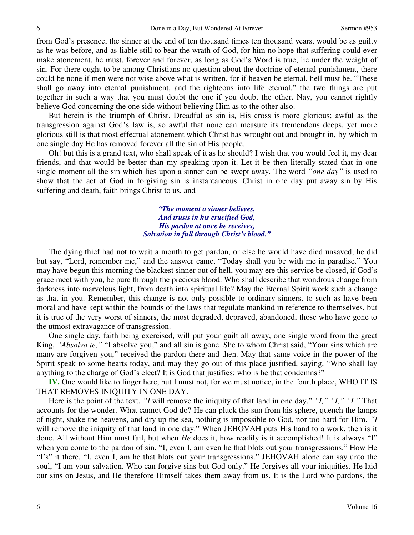from God's presence, the sinner at the end of ten thousand times ten thousand years, would be as guilty as he was before, and as liable still to bear the wrath of God, for him no hope that suffering could ever make atonement, he must, forever and forever, as long as God's Word is true, lie under the weight of sin. For there ought to be among Christians no question about the doctrine of eternal punishment, there could be none if men were not wise above what is written, for if heaven be eternal, hell must be. "These shall go away into eternal punishment, and the righteous into life eternal," the two things are put together in such a way that you must doubt the one if you doubt the other. Nay, you cannot rightly believe God concerning the one side without believing Him as to the other also.

But herein is the triumph of Christ. Dreadful as sin is, His cross is more glorious; awful as the transgression against God's law is, so awful that none can measure its tremendous deeps, yet more glorious still is that most effectual atonement which Christ has wrought out and brought in, by which in one single day He has removed forever all the sin of His people.

Oh! but this is a grand text, who shall speak of it as he should? I wish that you would feel it, my dear friends, and that would be better than my speaking upon it. Let it be then literally stated that in one single moment all the sin which lies upon a sinner can be swept away. The word *"one day"* is used to show that the act of God in forgiving sin is instantaneous. Christ in one day put away sin by His suffering and death, faith brings Christ to us, and—

> *"The moment a sinner believes, And trusts in his crucified God, His pardon at once he receives, Salvation in full through Christ's blood."*

The dying thief had not to wait a month to get pardon, or else he would have died unsaved, he did but say, "Lord, remember me," and the answer came, "Today shall you be with me in paradise." You may have begun this morning the blackest sinner out of hell, you may ere this service be closed, if God's grace meet with you, be pure through the precious blood. Who shall describe that wondrous change from darkness into marvelous light, from death into spiritual life? May the Eternal Spirit work such a change as that in you. Remember, this change is not only possible to ordinary sinners, to such as have been moral and have kept within the bounds of the laws that regulate mankind in reference to themselves, but it is true of the very worst of sinners, the most degraded, depraved, abandoned, those who have gone to the utmost extravagance of transgression.

One single day, faith being exercised, will put your guilt all away, one single word from the great King, *"Absolvo te,"* "I absolve you," and all sin is gone. She to whom Christ said, "Your sins which are many are forgiven you," received the pardon there and then. May that same voice in the power of the Spirit speak to some hearts today, and may they go out of this place justified, saying, "Who shall lay anything to the charge of God's elect? It is God that justifies: who is he that condemns?"

**IV.** One would like to linger here, but I must not, for we must notice, in the fourth place, WHO IT IS THAT REMOVES INIQUITY IN ONE DAY.

Here is the point of the text, *"I* will remove the iniquity of that land in one day." *"I," "I," "I."* That accounts for the wonder. What cannot God do? He can pluck the sun from his sphere, quench the lamps of night, shake the heavens, and dry up the sea, nothing is impossible to God, nor too hard for Him. *"I* will remove the iniquity of that land in one day." When JEHOVAH puts His hand to a work, then is it done. All without Him must fail, but when *He* does it, how readily is it accomplished! It is always "I" when you come to the pardon of sin. "I, even I, am even he that blots out your transgressions." How He "I's" it there. "I, even I, am he that blots out your transgressions." JEHOVAH alone can say unto the soul, "I am your salvation. Who can forgive sins but God only." He forgives all your iniquities. He laid our sins on Jesus, and He therefore Himself takes them away from us. It is the Lord who pardons, the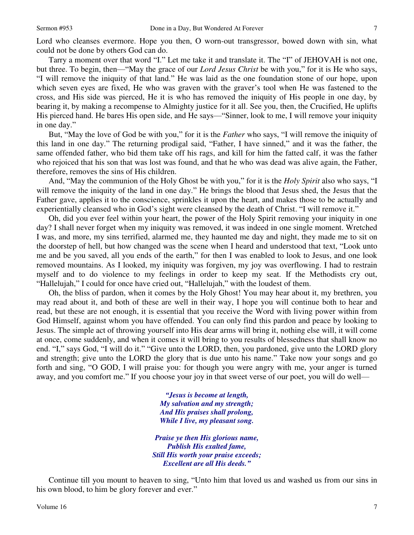Lord who cleanses evermore. Hope you then, O worn-out transgressor, bowed down with sin, what could not be done by others God can do.

Tarry a moment over that word "I." Let me take it and translate it. The "I" of JEHOVAH is not one, but three. To begin, then—"May the grace of our *Lord Jesus Christ* be with you," for it is He who says, "I will remove the iniquity of that land." He was laid as the one foundation stone of our hope, upon which seven eyes are fixed, He who was graven with the graver's tool when He was fastened to the cross, and His side was pierced, He it is who has removed the iniquity of His people in one day, by bearing it, by making a recompense to Almighty justice for it all. See you, then, the Crucified, He uplifts His pierced hand. He bares His open side, and He says—"Sinner, look to me, I will remove your iniquity in one day."

But, "May the love of God be with you," for it is the *Father* who says, "I will remove the iniquity of this land in one day." The returning prodigal said, "Father, I have sinned," and it was the father, the same offended father, who bid them take off his rags, and kill for him the fatted calf, it was the father who rejoiced that his son that was lost was found, and that he who was dead was alive again, the Father, therefore, removes the sins of His children.

And, "May the communion of the Holy Ghost be with you," for it is the *Holy Spirit* also who says, "I will remove the iniquity of the land in one day." He brings the blood that Jesus shed, the Jesus that the Father gave, applies it to the conscience, sprinkles it upon the heart, and makes those to be actually and experientially cleansed who in God's sight were cleansed by the death of Christ. "I will remove it."

Oh, did you ever feel within your heart, the power of the Holy Spirit removing your iniquity in one day? I shall never forget when my iniquity was removed, it was indeed in one single moment. Wretched I was, and more, my sins terrified, alarmed me, they haunted me day and night, they made me to sit on the doorstep of hell, but how changed was the scene when I heard and understood that text, "Look unto me and be you saved, all you ends of the earth," for then I was enabled to look to Jesus, and one look removed mountains. As I looked, my iniquity was forgiven, my joy was overflowing. I had to restrain myself and to do violence to my feelings in order to keep my seat. If the Methodists cry out, "Hallelujah," I could for once have cried out, "Hallelujah," with the loudest of them.

Oh, the bliss of pardon, when it comes by the Holy Ghost! You may hear about it, my brethren, you may read about it, and both of these are well in their way, I hope you will continue both to hear and read, but these are not enough, it is essential that you receive the Word with living power within from God Himself, against whom you have offended. You can only find this pardon and peace by looking to Jesus. The simple act of throwing yourself into His dear arms will bring it, nothing else will, it will come at once, come suddenly, and when it comes it will bring to you results of blessedness that shall know no end. "I," says God, "I will do it." "Give unto the LORD, then, you pardoned, give unto the LORD glory and strength; give unto the LORD the glory that is due unto his name." Take now your songs and go forth and sing, "O GOD, I will praise you: for though you were angry with me, your anger is turned away, and you comfort me." If you choose your joy in that sweet verse of our poet, you will do well—

> *"Jesus is become at length, My salvation and my strength; And His praises shall prolong, While I live, my pleasant song.*

*Praise ye then His glorious name, Publish His exalted fame, Still His worth your praise exceeds; Excellent are all His deeds."*

Continue till you mount to heaven to sing, "Unto him that loved us and washed us from our sins in his own blood, to him be glory forever and ever."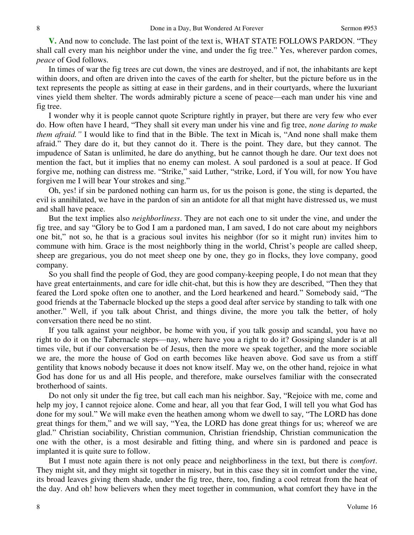**V.** And now to conclude. The last point of the text is, WHAT STATE FOLLOWS PARDON. "They shall call every man his neighbor under the vine, and under the fig tree." Yes, wherever pardon comes, *peace* of God follows.

In times of war the fig trees are cut down, the vines are destroyed, and if not, the inhabitants are kept within doors, and often are driven into the caves of the earth for shelter, but the picture before us in the text represents the people as sitting at ease in their gardens, and in their courtyards, where the luxuriant vines yield them shelter. The words admirably picture a scene of peace—each man under his vine and fig tree.

I wonder why it is people cannot quote Scripture rightly in prayer, but there are very few who ever do. How often have I heard, "They shall sit every man under his vine and fig tree, *none daring to make them afraid."* I would like to find that in the Bible. The text in Micah is, "And none shall make them afraid." They dare do it, but they cannot do it. There is the point. They dare, but they cannot. The impudence of Satan is unlimited, he dare do anything, but he cannot though he dare. Our text does not mention the fact, but it implies that no enemy can molest. A soul pardoned is a soul at peace. If God forgive me, nothing can distress me. "Strike," said Luther, "strike, Lord, if You will, for now You have forgiven me I will bear Your strokes and sing."

Oh, yes! if sin be pardoned nothing can harm us, for us the poison is gone, the sting is departed, the evil is annihilated, we have in the pardon of sin an antidote for all that might have distressed us, we must and shall have peace.

But the text implies also *neighborliness*. They are not each one to sit under the vine, and under the fig tree, and say "Glory be to God I am a pardoned man, I am saved, I do not care about my neighbors one bit," not so, he that is a gracious soul invites his neighbor (for so it might run) invites him to commune with him. Grace is the most neighborly thing in the world, Christ's people are called sheep, sheep are gregarious, you do not meet sheep one by one, they go in flocks, they love company, good company.

So you shall find the people of God, they are good company-keeping people, I do not mean that they have great entertainments, and care for idle chit-chat, but this is how they are described, "Then they that feared the Lord spoke often one to another, and the Lord hearkened and heard." Somebody said, "The good friends at the Tabernacle blocked up the steps a good deal after service by standing to talk with one another." Well, if you talk about Christ, and things divine, the more you talk the better, of holy conversation there need be no stint.

If you talk against your neighbor, be home with you, if you talk gossip and scandal, you have no right to do it on the Tabernacle steps—nay, where have you a right to do it? Gossiping slander is at all times vile, but if our conversation be of Jesus, then the more we speak together, and the more sociable we are, the more the house of God on earth becomes like heaven above. God save us from a stiff gentility that knows nobody because it does not know itself. May we, on the other hand, rejoice in what God has done for us and all His people, and therefore, make ourselves familiar with the consecrated brotherhood of saints.

Do not only sit under the fig tree, but call each man his neighbor. Say, "Rejoice with me, come and help my joy, I cannot rejoice alone. Come and hear, all you that fear God, I will tell you what God has done for my soul." We will make even the heathen among whom we dwell to say, "The LORD has done great things for them," and we will say, "Yea, the LORD has done great things for us; whereof we are glad." Christian sociability, Christian communion, Christian friendship, Christian communication the one with the other, is a most desirable and fitting thing, and where sin is pardoned and peace is implanted it is quite sure to follow.

But I must note again there is not only peace and neighborliness in the text, but there is *comfort*. They might sit, and they might sit together in misery, but in this case they sit in comfort under the vine, its broad leaves giving them shade, under the fig tree, there, too, finding a cool retreat from the heat of the day. And oh! how believers when they meet together in communion, what comfort they have in the